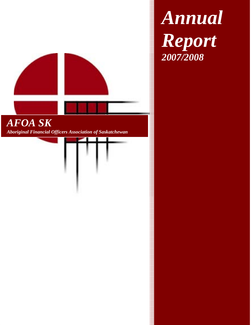

*Annual Report 2007/2008*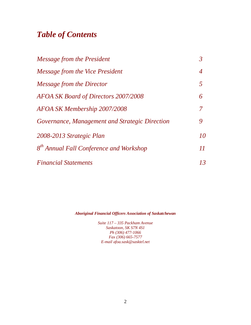# *Table of Contents*

| Message from the President                          | $\mathfrak{Z}$ |
|-----------------------------------------------------|----------------|
| Message from the Vice President                     | $\overline{4}$ |
| Message from the Director                           | 5              |
| AFOA SK Board of Directors 2007/2008                | 6              |
| AFOA SK Membership 2007/2008                        | 7              |
| Governance, Management and Strategic Direction      | 9              |
| 2008-2013 Strategic Plan                            | 10             |
| 8 <sup>th</sup> Annual Fall Conference and Workshop | 11             |
| <b>Financial Statements</b>                         | 13             |

*Aboriginal Financial Officers Association of Saskatchewan*

*Suite 117 – 335 Packham Avenue Saskatoon, SK S7N 4S1 Ph (306) 477-1066 Fax (306) 665-7577 E-mail afoa.sask@sasktel.net*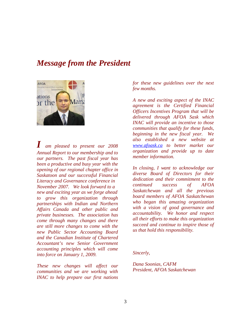### *Message from the President*



*I am pleased to present our 2008 Annual Report to our membership and to our partners. The past fiscal year has been a productive and busy year with the opening of our regional chapter office in Saskatoon and our successful Financial Literacy and Governance conference in November 2007. We look forward to a new and exciting year as we forge ahead to grow this organization through partnerships with Indian and Northern Affairs Canada and other public and private businesses. The association has come through many changes and there are still more changes to come with the new Public Sector Accounting Board and the Canadian Institute of Chartered Accountant's new Senior Government accounting principles which will come into force on January 1, 2009.* 

*These new changes will affect our communities and we are working with INAC to help prepare our first nations*  *for these new guidelines over the next few months.* 

*A new and exciting aspect of the INAC agreement is the Certified Financial Officers Incentives Program that will be delivered through AFOA Sask which INAC will provide an incentive to those communities that qualify for these funds, beginning in the new fiscal year. We also established a new website at www.afoask.ca to better market our organization and provide up to date member information.* 

*In closing, I want to acknowledge our diverse Board of Directors for their dedication and their commitment to the continued success of AFOA Saskatchewan and all the previous board members of AFOA Saskatchewan who began this amazing organization with a vision of good governance and accountability. We honor and respect all their efforts to make this organization succeed and continue to inspire those of us that hold this responsibility.* 

*Sincerly,* 

*Dana Soonias, CAFM President, AFOA Saskatchewan*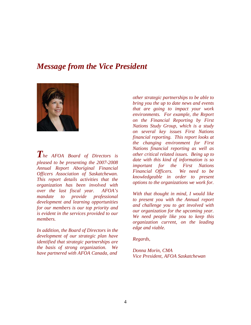## *Message from the Vice President*



*The AFOA Board of Directors is pleased to be presenting the 2007-2008 Annual Report Aboriginal Financial Officers Association of Saskatchewan. This report details activities that the organization has been involved with over the last fiscal year. AFOA's mandate to provide professional development and learning opportunities for our members is our top priority and is evident in the services provided to our members.* 

*In addition, the Board of Directors in the development of our strategic plan have identified that strategic partnerships are the basis of strong organization. We have partnered with AFOA Canada, and* 

*other strategic partnerships to be able to bring you the up to date news and events that are going to impact your work environments. For example, the Report on the Financial Reporting by First Nations Study Group, which is a study on several key issues First Nations financial reporting. This report looks at the changing environment for First Nations financial reporting as well as other critical related issues. Being up to date with this kind of information is so important for the First Nations Financial Officers. We need to be knowledgeable in order to present options to the organizations we work for.* 

*With that thought in mind, I would like to present you with the Annual report and challenge you to get involved with our organization for the upcoming year. We need people like you to keep this organization current, on the leading edge and viable.* 

*Regards,* 

*Donna Morin, CMA Vice President, AFOA Saskatchewan*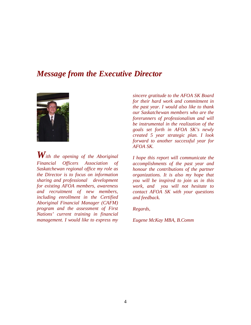## *Message from the Executive Director*



*With the opening of the Aboriginal Financial Officers Association of Saskatchewan regional office my role as the Director is to focus on information sharing and professional development for existing AFOA members, awareness and recruitment of new members, including enrollment in the Certified Aboriginal Financial Manager (CAFM) program and the assessment of First Nations' current training in financial management. I would like to express my* 

*sincere gratitude to the AFOA SK Board for their hard work and commitment in the past year. I would also like to thank our Saskatchewan members who are the forerunners of professionalism and will be instrumental in the realization of the goals set forth in AFOA SK's newly created 5 year strategic plan. I look forward to another successful year for AFOA SK.* 

*I hope this report will communicate the accomplishments of the past year and honour the contributions of the partner organizations. It is also my hope that you will be inspired to join us in this work, and you will not hesitate to contact AFOA SK with your questions and feedback.* 

*Regards,* 

*Eugene McKay MBA, B.Comm*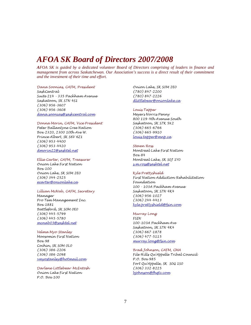## *AFOA SK Board of Directors 2007/2008*

*AFOA SK is guided by a dedicated volunteer Board of Directors comprising of leaders in finance and management from across Saskatchewan. Our Association's success is a direct result of their commitment and the investment of their time and effort.*

#### Dana Soonias, CAFM, President

SaskCentral Suite 214 - 335 Packham Avenue Saskatoon, SK S7N 4S1 (306) 956-3607 (306) 956-3608 dana.soonias@saskcentral.com

#### Donna Morin, CAFM, Vice President

Peter Ballantyne Cree Nation Box 2320, 2300 10th Ave W. Prince Albert, SK S6V 6Z1 (306) 953-4400 (306) 953-4420 dmorin22@sasktel.net

#### Ellie Carter, CAFM, Treasurer

Onion Lake First Nation Box 100 Onion Lake, SK S0M 2E0 (306) 344-2525 ecarter@onionlake.ca

#### Lillian McNab, CAFM, Secretary

Manager Pro Tem Management Inc. Box 1881 Battleford, SK S0M 0E0 (306) 445-5799 (306) 445-5780 mcnab03@sasktel.net

#### Velma Myo-Stanley

Moosomin First Nation Box 98 Cochin, SK S0M 0L0 (306) 386-2206 (306) 386-2098 vmyostanley@hotmail.com

Darlene Littlebear-McIntosh Onion Lake First Nation P.O. Box 100

Onion Lake, SK S0M 2E0 (780) 847-2200 (780) 847-2226 dlittlebear@onionlake.ca

#### Louis Tapper

Meyers Norris Penny 800 119-4th Avenue South Saskatoon, SK S7K 5X2 (306) 665-6766 (306) 665-9910 louis.tapper@mnp.ca

#### Steven Ross

Montreal Lake First Nation Box 84 Montreal Lake, SK S0J 1Y0 s.m.ross@sasktel.net

#### Kyle Prettyshield

First Nation Addiction Rehabilitation Foundation 100 - 103A Packham Avenue Saskatoon, SK S7N 4K4 (306) 956-1027 (306) 244-4413 kyle.prettyshield@fsin.com

#### Murray Long

FSIN 100-103A Packham Ave Saskatoon, SK S7N 4K4 (306) 667-1878 (306) 477-5115 murray.long@fsin.com

#### Brad Johnson, CAFM, CMA

File Hills Qu'Appelle Tribal Council P.O. Box 985 Fort Qu'Appelle, SK S0G 1S0 (306) 332-8225 bjohnson@fhqtc.com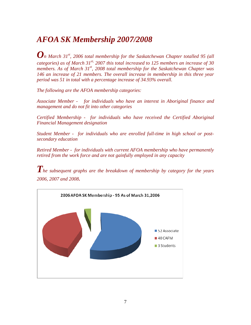# *AFOA SK Membership 2007/2008*

*On March 31st, 2006 total membership for the Saskatchewan Chapter totalled 95 (all categories) as of March 31st, 2007 this total increased to 125 members an increase of 30 members. As of March 31st, 2008 total membership for the Saskatchewan Chapter was 146 an increase of 21 members. The overall increase in membership in this three year period was 51 in total with a percentage increase of 34.93% overall.* 

*The following are the AFOA membership categories:* 

*Associate Member - for individuals who have an interest in Aboriginal finance and management and do not fit into other categories*

*Certified Membership - for individuals who have received the Certified Aboriginal Financial Management designation*

*Student Member - for individuals who are enrolled full-time in high school or postsecondary education* 

*Retired Member - for individuals with current AFOA membership who have permanently retired from the work force and are not gainfully employed in any capacity* 

*The subsequent graphs are the breakdown of membership by category for the years 2006, 2007 and 2008.* 

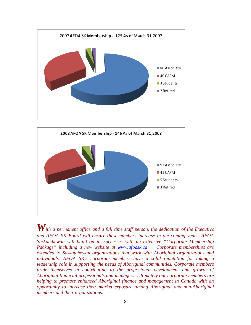



*With a permanent office and a full time staff person, the dedication of the Executive and AFOA SK Board will ensure these numbers increase in the coming year. AFOA Saskatchewan will build on its successes with an extensive "Corporate Membership Package" including a new website at www.afoask.ca Corporate memberships are extended to Saskatchewan organizations that work with Aboriginal organizations and individuals. AFOA SK's corporate members have a solid reputation for taking a leadership role in supporting the needs of Aboriginal communities. Corporate members pride themselves in contributing to the professional development and growth of Aboriginal financial professionals and managers. Ultimately our corporate members are helping to promote enhanced Aboriginal finance and management in Canada with an opportunity to increase their market exposure among Aboriginal and non-Aboriginal members and their organizations.*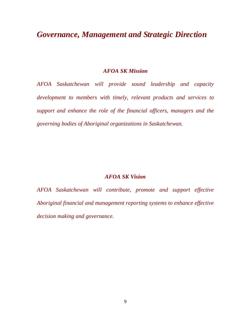## *Governance, Management and Strategic Direction*

### *AFOA SK Mission*

*AFOA Saskatchewan will provide sound leadership and capacity development to members with timely, relevant products and services to support and enhance the role of the financial officers, managers and the governing bodies of Aboriginal organizations in Saskatchewan.* 

### *AFOA SK Vision*

*AFOA Saskatchewan will contribute, promote and support effective Aboriginal financial and management reporting systems to enhance effective decision making and governance.*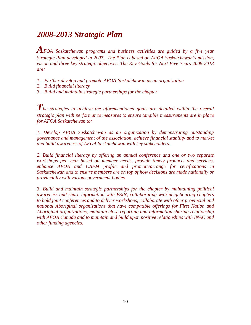## *2008-2013 Strategic Plan*

*AFOA Saskatchewan programs and business activities are guided by a five year Strategic Plan developed in 2007. The Plan is based on AFOA Saskatchewan's mission, vision and three key strategic objectives. The Key Goals for Next Five Years 2008-2013 are:* 

- *1. Further develop and promote AFOA-Saskatchewan as an organization*
- *2. Build financial literacy*
- *3. Build and maintain strategic partnerships for the chapter*

The strategies to achieve the aforementioned goals are detailed within the overall *strategic plan with performance measures to ensure tangible measurements are in place for AFOA Saskatchewan to:* 

*1. Develop AFOA Saskatchewan as an organization by demonstrating outstanding governance and management of the association, achieve financial stability and to market and build awareness of AFOA Saskatchewan with key stakeholders.* 

*2. Build financial literacy by offering an annual conference and one or two separate workshops per year based on member needs, provide timely products and services, enhance AFOA and CAFM profile and promote/arrange for certifications in Saskatchewan and to ensure members are on top of how decisions are made nationally or provincially with various government bodies.* 

*3. Build and maintain strategic partnerships for the chapter by maintaining political awareness and share information with FSIN, collaborating with neighbouring chapters to hold joint conferences and to deliver workshops, collaborate with other provincial and national Aboriginal organizations that have compatible offerings for First Nation and Aboriginal organizations, maintain close reporting and information sharing relationship with AFOA Canada and to maintain and build upon positive relationships with INAC and other funding agencies.*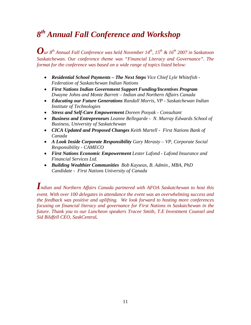# *8 th Annual Fall Conference and Workshop*

*Our 8th Annual Fall Conference was held November 14th, 15th & 16th 2007 in Saskatoon Saskatchewan. Our conference theme was "Financial Literacy and Governance". The format for the conference was based on a wide range of topics listed below:* 

- *Residential School Payments The Next Steps Vice Chief Lyle Whitefish Federation of Saskatchewan Indian Nations*
- *First Nations Indian Government Support Funding/Incentives Program Dwayne Johns and Monte Barrett – Indian and Northern Affairs Canada*
- *Educating our Future Generations Randall Morris, VP Saskatchewan Indian Institute of Technologies*
- *Stress and Self-Care Empowerment Doreen Pooyak Consultant*
- *Business and Entrepreneurs Leanne Bellegarde N. Murray Edwards School of Business, University of Saskatchewan*
- *CICA Updated and Proposed Changes Keith Martell First Nations Bank of Canada*
- *A Look Inside Corporate Responsibility Gary Merasty VP, Corporate Social Responsibility - CAMECO*
- *First Nations Economic Empowerment Lester Lafond Lafond Insurance and Financial Services Ltd.*
- *Building Wealthier Communities Bob Kayseas, B. Admin., MBA, PhD Candidate - First Nations University of Canada*

*Indian and Northern Affairs Canada partnered with AFOA Saskatchewan to host this event. With over 100 delegates in attendance the event was an overwhelming success and the feedback was positive and uplifting. We look forward to hosting more conferences focusing on financial literacy and governance for First Nations in Saskatchewan in the future. Thank you to our Luncheon speakers Tracee Smith, T.E Investment Counsel and Sid Bildfell CEO, SaskCentral.*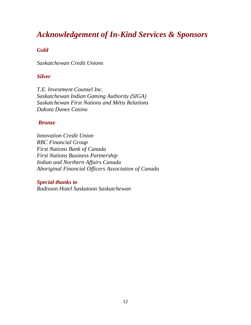## *Acknowledgement of In-Kind Services & Sponsors*

### *Gold*

*Saskatchewan Credit Unions* 

### *Silver*

*T.E. Investment Counsel Inc. Saskatchewan Indian Gaming Authority (SIGA) Saskatchewan First Nations and Métis Relations Dakota Dunes Casino* 

### *Bronze*

*Innovation Credit Union RBC Financial Group First Nations Bank of Canada First Nations Business Partnership Indian and Northern Affairs Canada Aboriginal Financial Officers Association of Canada* 

*Special thanks to Radisson Hotel Saskatoon Saskatchewan*